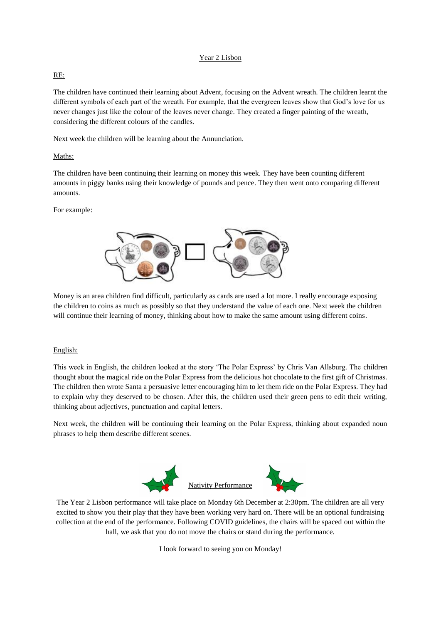## Year 2 Lisbon

### RE:

The children have continued their learning about Advent, focusing on the Advent wreath. The children learnt the different symbols of each part of the wreath. For example, that the evergreen leaves show that God's love for us never changes just like the colour of the leaves never change. They created a finger painting of the wreath, considering the different colours of the candles.

Next week the children will be learning about the Annunciation.

#### Maths:

The children have been continuing their learning on money this week. They have been counting different amounts in piggy banks using their knowledge of pounds and pence. They then went onto comparing different amounts.

For example:



Money is an area children find difficult, particularly as cards are used a lot more. I really encourage exposing the children to coins as much as possibly so that they understand the value of each one. Next week the children will continue their learning of money, thinking about how to make the same amount using different coins.

#### English:

This week in English, the children looked at the story 'The Polar Express' by Chris Van Allsburg. The children thought about the magical ride on the Polar Express from the delicious hot chocolate to the first gift of Christmas. The children then wrote Santa a persuasive letter encouraging him to let them ride on the Polar Express. They had to explain why they deserved to be chosen. After this, the children used their green pens to edit their writing, thinking about adjectives, punctuation and capital letters.

Next week, the children will be continuing their learning on the Polar Express, thinking about expanded noun phrases to help them describe different scenes.



The Year 2 Lisbon performance will take place on Monday 6th December at 2:30pm. The children are all very excited to show you their play that they have been working very hard on. There will be an optional fundraising collection at the end of the performance. Following COVID guidelines, the chairs will be spaced out within the hall, we ask that you do not move the chairs or stand during the performance.

I look forward to seeing you on Monday!